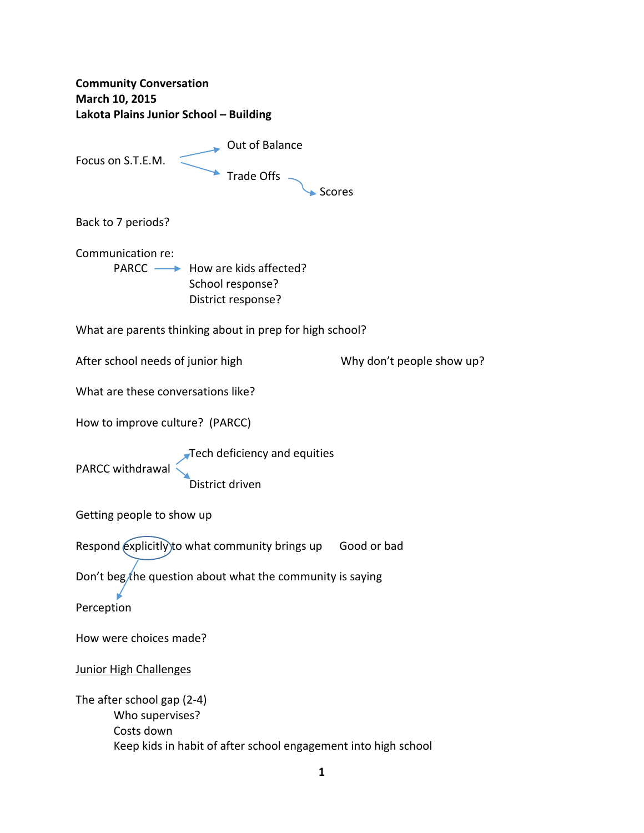**Community Conversation March 10, 2015 Lakota Plains Junior School – Building Called Ave School Separate School Separate School Separate School Separate School Separate School Separate School Separate School Separate School Separate School Separate School Separate School Separate School Separate Sc** Focus on S.T.E.M.  $\leq$  $\rightarrow$  Trade Offs  $\rightarrow$  Scores Back to 7 periods? Communication re: PARCC - How are kids affected? School response? District response? What are parents thinking about in prep for high school? After school needs of junior high Why don't people show up? What are these conversations like? How to improve culture? (PARCC) Tech deficiency and equities PARCC withdrawal **District driven** Getting people to show up Respond explicitly to what community brings up Good or bad Don't beg/the question about what the community is saying Perception How were choices made? Junior High Challenges The after school gap (2‐4) Who supervises? Costs down Keep kids in habit of after school engagement into high school